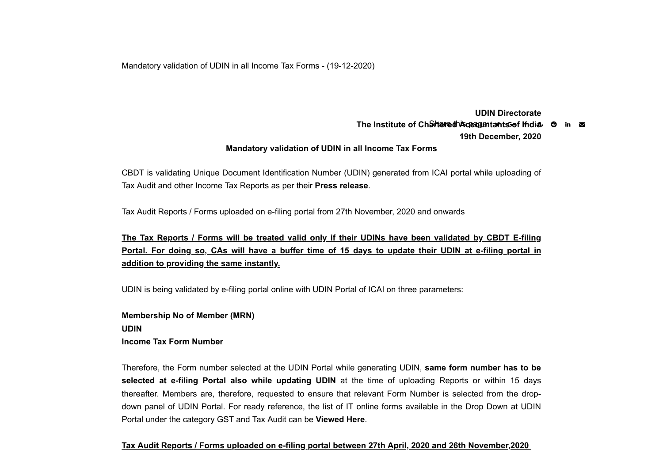Mandatory validation of UDIN in all Income Tax Forms - (19-12-2020)

**UDIN Directorate The Institute of Chartered Accountants of India O in**  $\Xi$ **19th December, 2020**

## **Mandatory validation of UDIN in all Income Tax Forms**

CBDT is validating Unique Document Identification Number (UDIN) generated from ICAI portal while uploading of Tax Audit and other Income Tax Reports as per their **Press release**.

Tax Audit Reports / Forms uploaded on e-filing portal from 27th November, 2020 and onwards

**The Tax Reports / Forms will be treated valid only if their UDINs have been validated by CBDT E-filing Portal. For doing so, CAs will have a buffer time of 15 days to update their UDIN at e-filing portal in addition to providing the same instantly.**

UDIN is being validated by e-filing portal online with UDIN Portal of ICAI on three parameters:

**Membership No of Member (MRN) UDIN Income Tax Form Number** 

Therefore, the Form number selected at the UDIN Portal while generating UDIN, **same form number has to be selected at e-filing Portal also while updating UDIN** at the time of uploading Reports or within 15 days thereafter. Members are, therefore, requested to ensure that relevant Form Number is selected from the dropdown panel of UDIN Portal. For ready reference, the list of IT online forms available in the Drop Down at UDIN Portal under the category GST and Tax Audit can be **Viewed Here**.

## **Tax Audit Reports / Forms uploaded on e-filing portal between 27th April, 2020 and 26th November,2020**